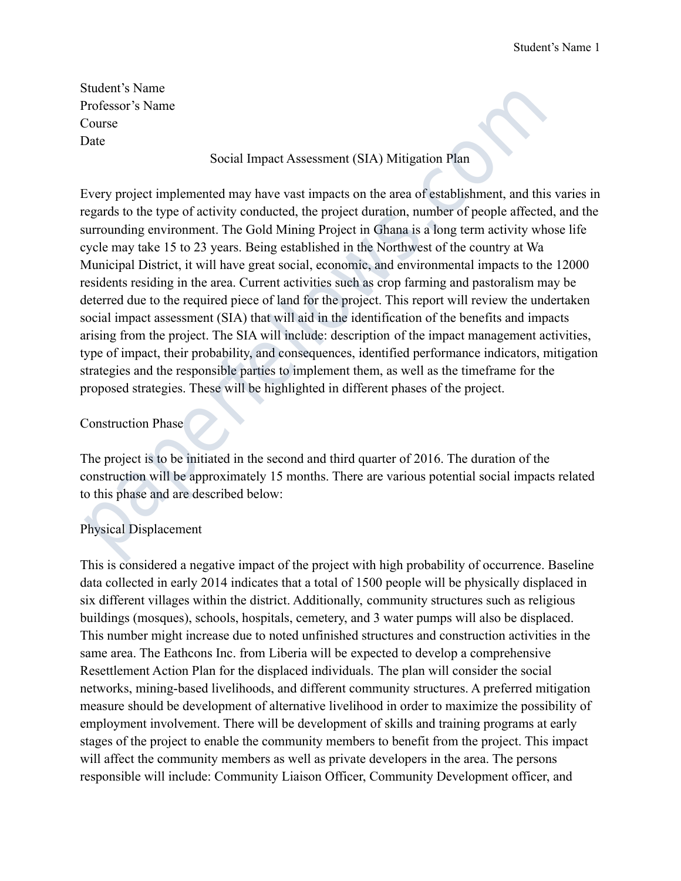Student's Name Professor's Name Course Date

#### Social Impact Assessment (SIA) Mitigation Plan

Every project implemented may have vast impacts on the area of establishment, and this varies in regards to the type of activity conducted, the project duration, number of people affected, and the surrounding environment. The Gold Mining Project in Ghana is a long term activity whose life cycle may take 15 to 23 years. Being established in the Northwest of the country at Wa Municipal District, it will have great social, economic, and environmental impacts to the 12000 residents residing in the area. Current activities such as crop farming and pastoralism may be deterred due to the required piece of land for the project. This report will review the undertaken social impact assessment (SIA) that will aid in the identification of the benefits and impacts arising from the project. The SIA will include: description of the impact management activities, type of impact, their probability, and consequences, identified performance indicators, mitigation strategies and the responsible parties to implement them, as well as the timeframe for the proposed strategies. These will be highlighted in different phases of the project. Student's Name<br>
Portessor's Name<br>
Professor's Name<br>
Professor<br>
Pouse<br>
Douse<br>
Social Impact Assessment (SIA) Mitigation Plan<br>
Douse<br>
Social Impact Assessment (SIA) Mitigation Plan<br>
Professor<br>
Course<br>
Every project implement

# Construction Phase

The project is to be initiated in the second and third quarter of 2016. The duration of the construction will be approximately 15 months. There are various potential social impacts related to this phase and are described below:

# Physical Displacement

This is considered a negative impact of the project with high probability of occurrence. Baseline data collected in early 2014 indicates that a total of 1500 people will be physically displaced in six different villages within the district. Additionally, community structures such as religious buildings (mosques), schools, hospitals, cemetery, and 3 water pumps will also be displaced. This number might increase due to noted unfinished structures and construction activities in the same area. The Eathcons Inc. from Liberia will be expected to develop a comprehensive Resettlement Action Plan for the displaced individuals. The plan will consider the social networks, mining-based livelihoods, and different community structures. A preferred mitigation measure should be development of alternative livelihood in order to maximize the possibility of employment involvement. There will be development of skills and training programs at early stages of the project to enable the community members to benefit from the project. This impact will affect the community members as well as private developers in the area. The persons responsible will include: Community Liaison Officer, Community Development officer, and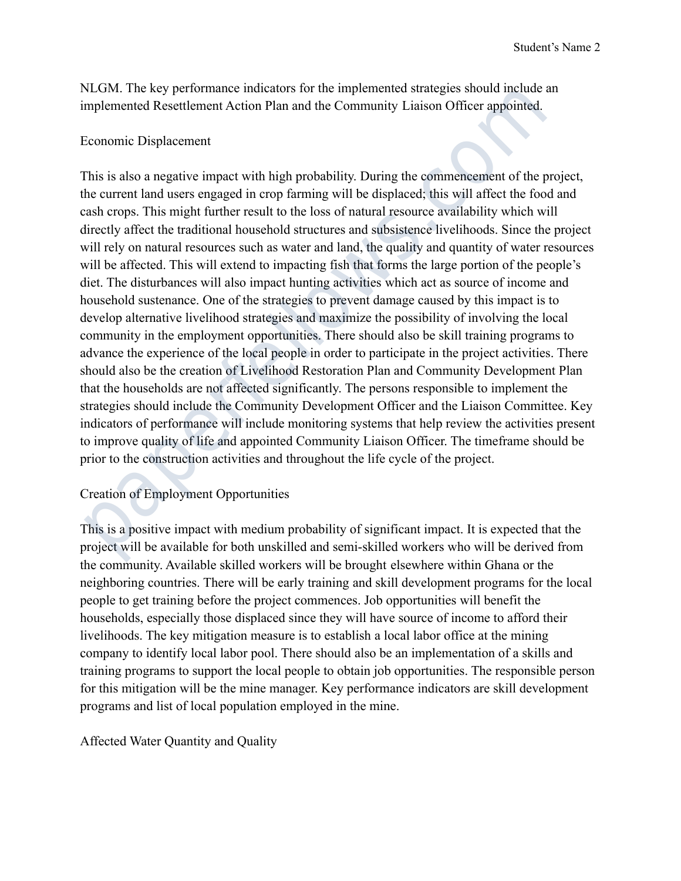NLGM. The key performance indicators for the implemented strategies should include an implemented Resettlement Action Plan and the Community Liaison Officer appointed.

#### Economic Displacement

This is also a negative impact with high probability. During the commencement of the project, the current land users engaged in crop farming will be displaced; this will affect the food and cash crops. This might further result to the loss of natural resource availability which will directly affect the traditional household structures and subsistence livelihoods. Since the project will rely on natural resources such as water and land, the quality and quantity of water resources will be affected. This will extend to impacting fish that forms the large portion of the people's diet. The disturbances will also impact hunting activities which act as source of income and household sustenance. One of the strategies to prevent damage caused by this impact is to develop alternative livelihood strategies and maximize the possibility of involving the local community in the employment opportunities. There should also be skill training programs to advance the experience of the local people in order to participate in the project activities. There should also be the creation of Livelihood Restoration Plan and Community Development Plan that the households are not affected significantly. The persons responsible to implement the strategies should include the Community Development Officer and the Liaison Committee. Key indicators of performance will include monitoring systems that help review the activities present to improve quality of life and appointed Community Liaison Officer. The timeframe should be prior to the construction activities and throughout the life cycle of the project. NLGM. The key performance indicators for the implemented strategies should include an<br>mplemented Resettlement Action Plan and the Community Liaison Officer appointed.<br>Economic Displacement<br>This is also a negative impact w

# Creation of Employment Opportunities

This is a positive impact with medium probability of significant impact. It is expected that the project will be available for both unskilled and semi-skilled workers who will be derived from the community. Available skilled workers will be brought elsewhere within Ghana or the neighboring countries. There will be early training and skill development programs for the local people to get training before the project commences. Job opportunities will benefit the households, especially those displaced since they will have source of income to afford their livelihoods. The key mitigation measure is to establish a local labor office at the mining company to identify local labor pool. There should also be an implementation of a skills and training programs to support the local people to obtain job opportunities. The responsible person for this mitigation will be the mine manager. Key performance indicators are skill development programs and list of local population employed in the mine.

Affected Water Quantity and Quality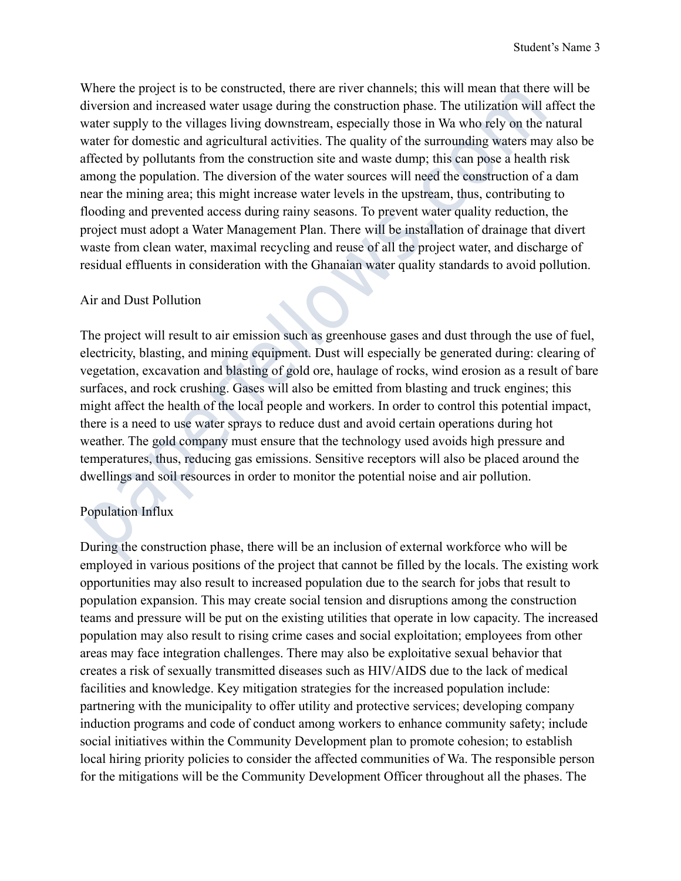Where the project is to be constructed, there are river channels; this will mean that there will be diversion and increased water usage during the construction phase. The utilization will affect the water supply to the villages living downstream, especially those in Wa who rely on the natural water for domestic and agricultural activities. The quality of the surrounding waters may also be affected by pollutants from the construction site and waste dump; this can pose a health risk among the population. The diversion of the water sources will need the construction of a dam near the mining area; this might increase water levels in the upstream, thus, contributing to flooding and prevented access during rainy seasons. To prevent water quality reduction, the project must adopt a Water Management Plan. There will be installation of drainage that divert waste from clean water, maximal recycling and reuse of all the project water, and discharge of residual effluents in consideration with the Ghanaian water quality standards to avoid pollution. Where the project is to be constructed, there are river channels; this will mean that there wive<br>strain and increased vater usage during the construction phase. The utilization will aff<br>in the values and increased varies

#### Air and Dust Pollution

The project will result to air emission such as greenhouse gases and dust through the use of fuel, electricity, blasting, and mining equipment. Dust will especially be generated during: clearing of vegetation, excavation and blasting of gold ore, haulage of rocks, wind erosion as a result of bare surfaces, and rock crushing. Gases will also be emitted from blasting and truck engines; this might affect the health of the local people and workers. In order to control this potential impact, there is a need to use water sprays to reduce dust and avoid certain operations during hot weather. The gold company must ensure that the technology used avoids high pressure and temperatures, thus, reducing gas emissions. Sensitive receptors will also be placed around the dwellings and soil resources in order to monitor the potential noise and air pollution.

# Population Influx

During the construction phase, there will be an inclusion of external workforce who will be employed in various positions of the project that cannot be filled by the locals. The existing work opportunities may also result to increased population due to the search for jobs that result to population expansion. This may create social tension and disruptions among the construction teams and pressure will be put on the existing utilities that operate in low capacity. The increased population may also result to rising crime cases and social exploitation; employees from other areas may face integration challenges. There may also be exploitative sexual behavior that creates a risk of sexually transmitted diseases such as HIV/AIDS due to the lack of medical facilities and knowledge. Key mitigation strategies for the increased population include: partnering with the municipality to offer utility and protective services; developing company induction programs and code of conduct among workers to enhance community safety; include social initiatives within the Community Development plan to promote cohesion; to establish local hiring priority policies to consider the affected communities of Wa. The responsible person for the mitigations will be the Community Development Officer throughout all the phases. The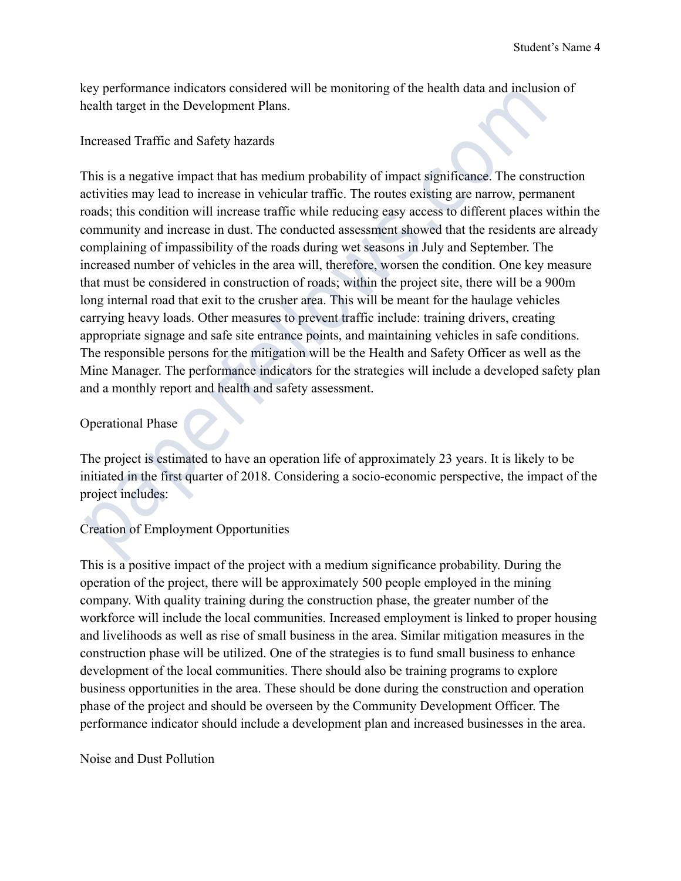key performance indicators considered will be monitoring of the health data and inclusion of health target in the Development Plans.

#### Increased Traffic and Safety hazards

This is a negative impact that has medium probability of impact significance. The construction activities may lead to increase in vehicular traffic. The routes existing are narrow, permanent roads; this condition will increase traffic while reducing easy access to different places within the community and increase in dust. The conducted assessment showed that the residents are already complaining of impassibility of the roads during wet seasons in July and September. The increased number of vehicles in the area will, therefore, worsen the condition. One key measure that must be considered in construction of roads; within the project site, there will be a 900m long internal road that exit to the crusher area. This will be meant for the haulage vehicles carrying heavy loads. Other measures to prevent traffic include: training drivers, creating appropriate signage and safe site entrance points, and maintaining vehicles in safe conditions. The responsible persons for the mitigation will be the Health and Safety Officer as well as the Mine Manager. The performance indicators for the strategies will include a developed safety plan and a monthly report and health and safety assessment. coy performance indicators considered will be monitoring of the health data and inclusion<br>each target in the Development Plans.<br>nereased Traffic and Safety hazards<br>This is a negative impact that has medium probability of i

# Operational Phase

The project is estimated to have an operation life of approximately 23 years. It is likely to be initiated in the first quarter of 2018. Considering a socio-economic perspective, the impact of the project includes:

# Creation of Employment Opportunities

This is a positive impact of the project with a medium significance probability. During the operation of the project, there will be approximately 500 people employed in the mining company. With quality training during the construction phase, the greater number of the workforce will include the local communities. Increased employment is linked to proper housing and livelihoods as well as rise of small business in the area. Similar mitigation measures in the construction phase will be utilized. One of the strategies is to fund small business to enhance development of the local communities. There should also be training programs to explore business opportunities in the area. These should be done during the construction and operation phase of the project and should be overseen by the Community Development Officer. The performance indicator should include a development plan and increased businesses in the area.

#### Noise and Dust Pollution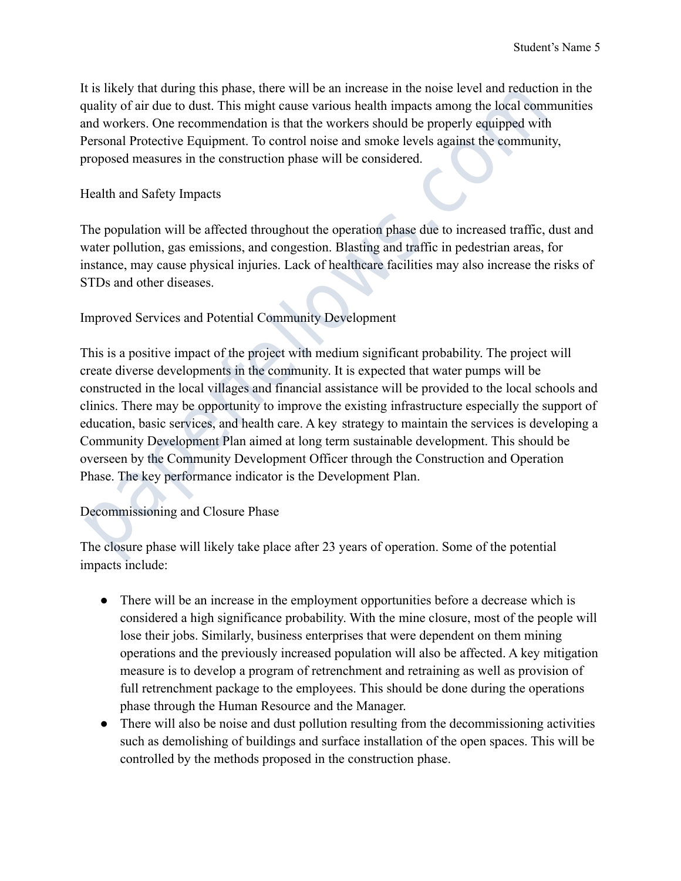It is likely that during this phase, there will be an increase in the noise level and reduction in the quality of air due to dust. This might cause various health impacts among the local communities and workers. One recommendation is that the workers should be properly equipped with Personal Protective Equipment. To control noise and smoke levels against the community, proposed measures in the construction phase will be considered.

#### Health and Safety Impacts

The population will be affected throughout the operation phase due to increased traffic, dust and water pollution, gas emissions, and congestion. Blasting and traffic in pedestrian areas, for instance, may cause physical injuries. Lack of healthcare facilities may also increase the risks of STDs and other diseases.

# Improved Services and Potential Community Development

This is a positive impact of the project with medium significant probability. The project will create diverse developments in the community. It is expected that water pumps will be constructed in the local villages and financial assistance will be provided to the local schools and clinics. There may be opportunity to improve the existing infrastructure especially the support of education, basic services, and health care. A key strategy to maintain the services is developing a Community Development Plan aimed at long term sustainable development. This should be overseen by the Community Development Officer through the Construction and Operation Phase. The key performance indicator is the Development Plan. t is likely that during this phase, there will be an increase in the noise level and reduction<br>papily of air due to dust. This might cause various health impacts among the local commund vorkers. One recommendation is that

#### Decommissioning and Closure Phase

The closure phase will likely take place after 23 years of operation. Some of the potential impacts include:

- There will be an increase in the employment opportunities before a decrease which is considered a high significance probability. With the mine closure, most of the people will lose their jobs. Similarly, business enterprises that were dependent on them mining operations and the previously increased population will also be affected. A key mitigation measure is to develop a program of retrenchment and retraining as well as provision of full retrenchment package to the employees. This should be done during the operations phase through the Human Resource and the Manager.
- There will also be noise and dust pollution resulting from the decommissioning activities such as demolishing of buildings and surface installation of the open spaces. This will be controlled by the methods proposed in the construction phase.